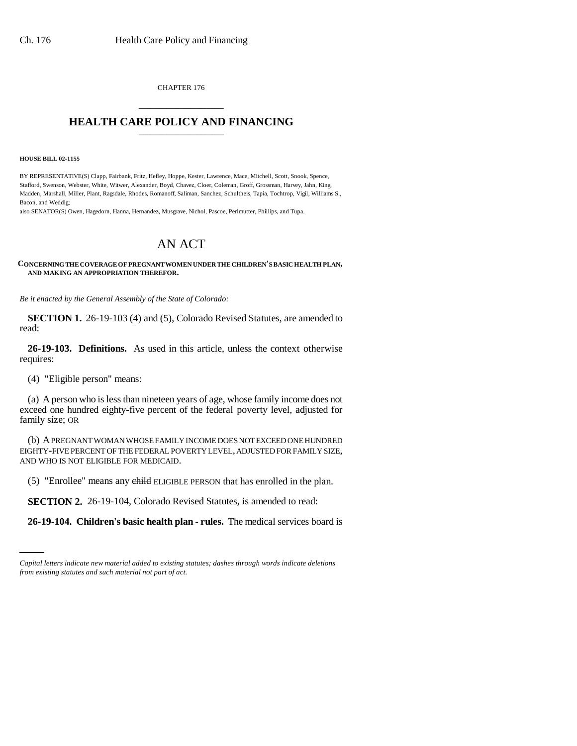CHAPTER 176 \_\_\_\_\_\_\_\_\_\_\_\_\_\_\_

## **HEALTH CARE POLICY AND FINANCING**

#### **HOUSE BILL 02-1155**

BY REPRESENTATIVE(S) Clapp, Fairbank, Fritz, Hefley, Hoppe, Kester, Lawrence, Mace, Mitchell, Scott, Snook, Spence, Stafford, Swenson, Webster, White, Witwer, Alexander, Boyd, Chavez, Cloer, Coleman, Groff, Grossman, Harvey, Jahn, King, Madden, Marshall, Miller, Plant, Ragsdale, Rhodes, Romanoff, Saliman, Sanchez, Schultheis, Tapia, Tochtrop, Vigil, Williams S., Bacon, and Weddig;

also SENATOR(S) Owen, Hagedorn, Hanna, Hernandez, Musgrave, Nichol, Pascoe, Perlmutter, Phillips, and Tupa.

# AN ACT

### **CONCERNING THE COVERAGE OF PREGNANT WOMEN UNDER THE CHILDREN'S BASIC HEALTH PLAN, AND MAKING AN APPROPRIATION THEREFOR.**

*Be it enacted by the General Assembly of the State of Colorado:*

**SECTION 1.** 26-19-103 (4) and (5), Colorado Revised Statutes, are amended to read:

**26-19-103. Definitions.** As used in this article, unless the context otherwise requires:

(4) "Eligible person" means:

(a) A person who is less than nineteen years of age, whose family income does not exceed one hundred eighty-five percent of the federal poverty level, adjusted for family size; OR

(b) A PREGNANT WOMAN WHOSE FAMILY INCOME DOES NOT EXCEED ONE HUNDRED EIGHTY-FIVE PERCENT OF THE FEDERAL POVERTY LEVEL, ADJUSTED FOR FAMILY SIZE, AND WHO IS NOT ELIGIBLE FOR MEDICAID.

(5) "Enrollee" means any child ELIGIBLE PERSON that has enrolled in the plan.

 **SECTION 2.** 26-19-104, Colorado Revised Statutes, is amended to read:

**26-19-104. Children's basic health plan - rules.** The medical services board is

*Capital letters indicate new material added to existing statutes; dashes through words indicate deletions from existing statutes and such material not part of act.*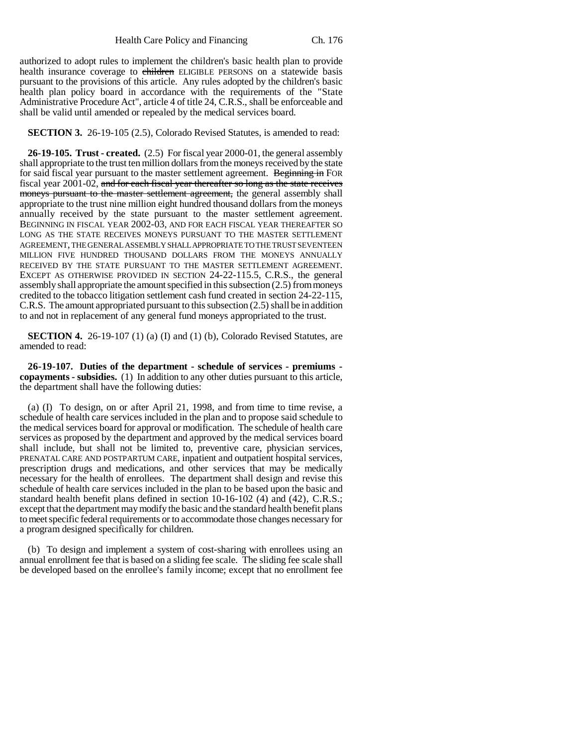authorized to adopt rules to implement the children's basic health plan to provide health insurance coverage to children ELIGIBLE PERSONS on a statewide basis pursuant to the provisions of this article. Any rules adopted by the children's basic health plan policy board in accordance with the requirements of the "State Administrative Procedure Act", article 4 of title 24, C.R.S., shall be enforceable and shall be valid until amended or repealed by the medical services board.

**SECTION 3.** 26-19-105 (2.5), Colorado Revised Statutes, is amended to read:

**26-19-105. Trust - created.** (2.5) For fiscal year 2000-01, the general assembly shall appropriate to the trust ten million dollars from the moneys received by the state for said fiscal year pursuant to the master settlement agreement. Beginning in FOR fiscal year 2001-02, and for each fiscal year thereafter so long as the state receives moneys pursuant to the master settlement agreement, the general assembly shall appropriate to the trust nine million eight hundred thousand dollars from the moneys annually received by the state pursuant to the master settlement agreement. BEGINNING IN FISCAL YEAR 2002-03, AND FOR EACH FISCAL YEAR THEREAFTER SO LONG AS THE STATE RECEIVES MONEYS PURSUANT TO THE MASTER SETTLEMENT AGREEMENT, THE GENERAL ASSEMBLY SHALL APPROPRIATE TO THE TRUST SEVENTEEN MILLION FIVE HUNDRED THOUSAND DOLLARS FROM THE MONEYS ANNUALLY RECEIVED BY THE STATE PURSUANT TO THE MASTER SETTLEMENT AGREEMENT. EXCEPT AS OTHERWISE PROVIDED IN SECTION 24-22-115.5, C.R.S., the general assembly shall appropriate the amount specified in this subsection (2.5) from moneys credited to the tobacco litigation settlement cash fund created in section 24-22-115, C.R.S. The amount appropriated pursuant to this subsection (2.5) shall be in addition to and not in replacement of any general fund moneys appropriated to the trust.

**SECTION 4.** 26-19-107 (1) (a) (I) and (1) (b), Colorado Revised Statutes, are amended to read:

**26-19-107. Duties of the department - schedule of services - premiums copayments - subsidies.** (1) In addition to any other duties pursuant to this article, the department shall have the following duties:

(a) (I) To design, on or after April 21, 1998, and from time to time revise, a schedule of health care services included in the plan and to propose said schedule to the medical services board for approval or modification. The schedule of health care services as proposed by the department and approved by the medical services board shall include, but shall not be limited to, preventive care, physician services, PRENATAL CARE AND POSTPARTUM CARE, inpatient and outpatient hospital services, prescription drugs and medications, and other services that may be medically necessary for the health of enrollees. The department shall design and revise this schedule of health care services included in the plan to be based upon the basic and standard health benefit plans defined in section 10-16-102 (4) and (42), C.R.S.; except that the department may modify the basic and the standard health benefit plans to meet specific federal requirements or to accommodate those changes necessary for a program designed specifically for children.

(b) To design and implement a system of cost-sharing with enrollees using an annual enrollment fee that is based on a sliding fee scale. The sliding fee scale shall be developed based on the enrollee's family income; except that no enrollment fee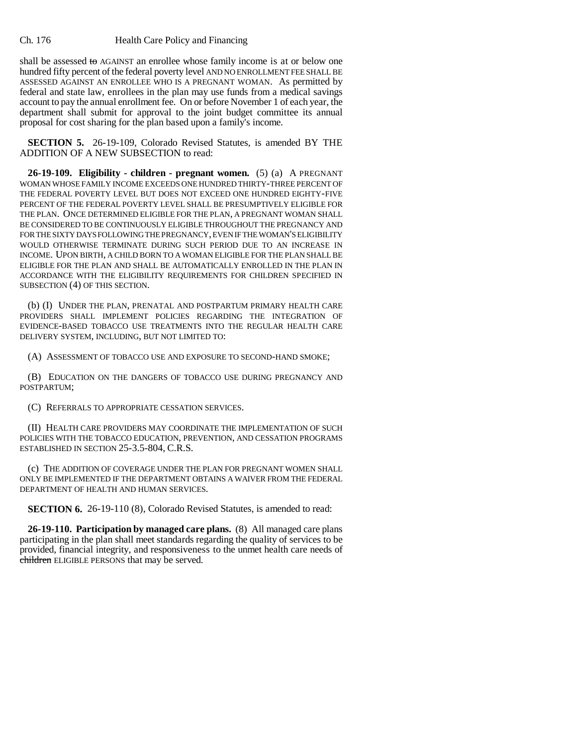### Ch. 176 Health Care Policy and Financing

shall be assessed to  $AGAINT$  an enrollee whose family income is at or below one hundred fifty percent of the federal poverty level AND NO ENROLLMENT FEE SHALL BE ASSESSED AGAINST AN ENROLLEE WHO IS A PREGNANT WOMAN. As permitted by federal and state law, enrollees in the plan may use funds from a medical savings account to pay the annual enrollment fee. On or before November 1 of each year, the department shall submit for approval to the joint budget committee its annual proposal for cost sharing for the plan based upon a family's income.

**SECTION 5.** 26-19-109, Colorado Revised Statutes, is amended BY THE ADDITION OF A NEW SUBSECTION to read:

**26-19-109. Eligibility - children - pregnant women.** (5) (a) A PREGNANT WOMAN WHOSE FAMILY INCOME EXCEEDS ONE HUNDRED THIRTY-THREE PERCENT OF THE FEDERAL POVERTY LEVEL BUT DOES NOT EXCEED ONE HUNDRED EIGHTY-FIVE PERCENT OF THE FEDERAL POVERTY LEVEL SHALL BE PRESUMPTIVELY ELIGIBLE FOR THE PLAN. ONCE DETERMINED ELIGIBLE FOR THE PLAN, A PREGNANT WOMAN SHALL BE CONSIDERED TO BE CONTINUOUSLY ELIGIBLE THROUGHOUT THE PREGNANCY AND FOR THE SIXTY DAYS FOLLOWING THE PREGNANCY, EVEN IF THE WOMAN'S ELIGIBILITY WOULD OTHERWISE TERMINATE DURING SUCH PERIOD DUE TO AN INCREASE IN INCOME. UPON BIRTH, A CHILD BORN TO A WOMAN ELIGIBLE FOR THE PLAN SHALL BE ELIGIBLE FOR THE PLAN AND SHALL BE AUTOMATICALLY ENROLLED IN THE PLAN IN ACCORDANCE WITH THE ELIGIBILITY REQUIREMENTS FOR CHILDREN SPECIFIED IN SUBSECTION (4) OF THIS SECTION.

(b) (I) UNDER THE PLAN, PRENATAL AND POSTPARTUM PRIMARY HEALTH CARE PROVIDERS SHALL IMPLEMENT POLICIES REGARDING THE INTEGRATION OF EVIDENCE-BASED TOBACCO USE TREATMENTS INTO THE REGULAR HEALTH CARE DELIVERY SYSTEM, INCLUDING, BUT NOT LIMITED TO:

(A) ASSESSMENT OF TOBACCO USE AND EXPOSURE TO SECOND-HAND SMOKE;

(B) EDUCATION ON THE DANGERS OF TOBACCO USE DURING PREGNANCY AND POSTPARTUM;

(C) REFERRALS TO APPROPRIATE CESSATION SERVICES.

(II) HEALTH CARE PROVIDERS MAY COORDINATE THE IMPLEMENTATION OF SUCH POLICIES WITH THE TOBACCO EDUCATION, PREVENTION, AND CESSATION PROGRAMS ESTABLISHED IN SECTION 25-3.5-804, C.R.S.

(c) THE ADDITION OF COVERAGE UNDER THE PLAN FOR PREGNANT WOMEN SHALL ONLY BE IMPLEMENTED IF THE DEPARTMENT OBTAINS A WAIVER FROM THE FEDERAL DEPARTMENT OF HEALTH AND HUMAN SERVICES.

**SECTION 6.** 26-19-110 (8), Colorado Revised Statutes, is amended to read:

**26-19-110. Participation by managed care plans.** (8) All managed care plans participating in the plan shall meet standards regarding the quality of services to be provided, financial integrity, and responsiveness to the unmet health care needs of children ELIGIBLE PERSONS that may be served.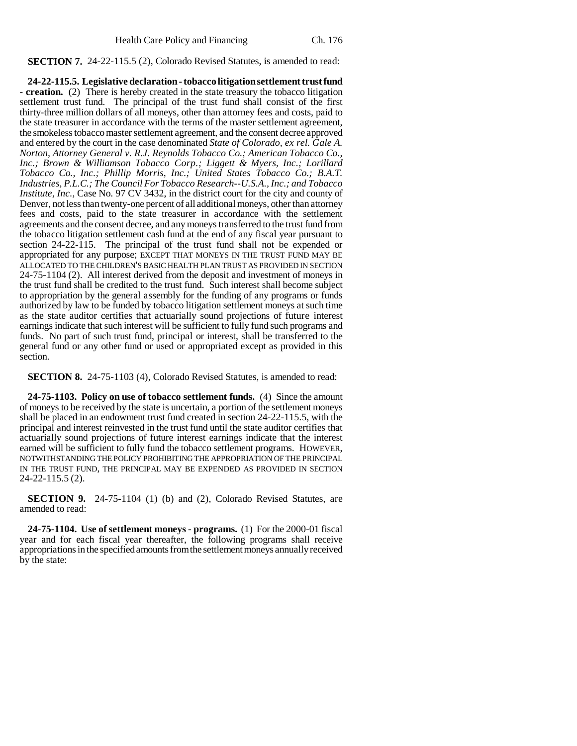**SECTION 7.** 24-22-115.5 (2), Colorado Revised Statutes, is amended to read:

**24-22-115.5. Legislative declaration - tobacco litigation settlement trust fund - creation.** (2) There is hereby created in the state treasury the tobacco litigation settlement trust fund. The principal of the trust fund shall consist of the first thirty-three million dollars of all moneys, other than attorney fees and costs, paid to the state treasurer in accordance with the terms of the master settlement agreement, the smokeless tobacco master settlement agreement, and the consent decree approved and entered by the court in the case denominated *State of Colorado, ex rel. Gale A. Norton, Attorney General v. R.J. Reynolds Tobacco Co.; American Tobacco Co., Inc.; Brown & Williamson Tobacco Corp.; Liggett & Myers, Inc.; Lorillard Tobacco Co., Inc.; Phillip Morris, Inc.; United States Tobacco Co.; B.A.T. Industries, P.L.C.; The Council For Tobacco Research--U.S.A., Inc.; and Tobacco Institute, Inc., Case No. 97 CV 3432, in the district court for the city and county of* Denver, not less than twenty-one percent of all additional moneys, other than attorney fees and costs, paid to the state treasurer in accordance with the settlement agreements and the consent decree, and any moneys transferred to the trust fund from the tobacco litigation settlement cash fund at the end of any fiscal year pursuant to section 24-22-115. The principal of the trust fund shall not be expended or appropriated for any purpose; EXCEPT THAT MONEYS IN THE TRUST FUND MAY BE ALLOCATED TO THE CHILDREN'S BASIC HEALTH PLAN TRUST AS PROVIDED IN SECTION 24-75-1104 (2). All interest derived from the deposit and investment of moneys in the trust fund shall be credited to the trust fund. Such interest shall become subject to appropriation by the general assembly for the funding of any programs or funds authorized by law to be funded by tobacco litigation settlement moneys at such time as the state auditor certifies that actuarially sound projections of future interest earnings indicate that such interest will be sufficient to fully fund such programs and funds. No part of such trust fund, principal or interest, shall be transferred to the general fund or any other fund or used or appropriated except as provided in this section.

**SECTION 8.** 24-75-1103 (4), Colorado Revised Statutes, is amended to read:

**24-75-1103. Policy on use of tobacco settlement funds.** (4) Since the amount of moneys to be received by the state is uncertain, a portion of the settlement moneys shall be placed in an endowment trust fund created in section 24-22-115.5, with the principal and interest reinvested in the trust fund until the state auditor certifies that actuarially sound projections of future interest earnings indicate that the interest earned will be sufficient to fully fund the tobacco settlement programs. HOWEVER, NOTWITHSTANDING THE POLICY PROHIBITING THE APPROPRIATION OF THE PRINCIPAL IN THE TRUST FUND, THE PRINCIPAL MAY BE EXPENDED AS PROVIDED IN SECTION 24-22-115.5 (2).

**SECTION 9.** 24-75-1104 (1) (b) and (2), Colorado Revised Statutes, are amended to read:

**24-75-1104. Use of settlement moneys - programs.** (1) For the 2000-01 fiscal year and for each fiscal year thereafter, the following programs shall receive appropriations in the specified amounts from the settlement moneys annually received by the state: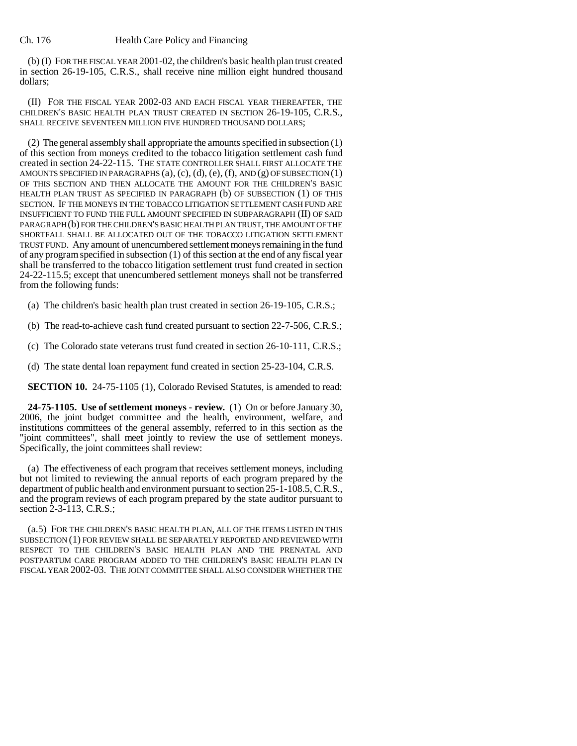(b) (I) FOR THE FISCAL YEAR 2001-02, the children's basic health plan trust created in section 26-19-105, C.R.S., shall receive nine million eight hundred thousand dollars;

(II) FOR THE FISCAL YEAR 2002-03 AND EACH FISCAL YEAR THEREAFTER, THE CHILDREN'S BASIC HEALTH PLAN TRUST CREATED IN SECTION 26-19-105, C.R.S., SHALL RECEIVE SEVENTEEN MILLION FIVE HUNDRED THOUSAND DOLLARS;

(2) The general assembly shall appropriate the amounts specified in subsection (1) of this section from moneys credited to the tobacco litigation settlement cash fund created in section 24-22-115. THE STATE CONTROLLER SHALL FIRST ALLOCATE THE AMOUNTS SPECIFIED IN PARAGRAPHS  $(a)$ ,  $(c)$ ,  $(d)$ ,  $(e)$ ,  $(f)$ ,  $AND(g)$  OF SUBSECTION  $(1)$ OF THIS SECTION AND THEN ALLOCATE THE AMOUNT FOR THE CHILDREN'S BASIC HEALTH PLAN TRUST AS SPECIFIED IN PARAGRAPH (b) OF SUBSECTION (1) OF THIS SECTION. IF THE MONEYS IN THE TOBACCO LITIGATION SETTLEMENT CASH FUND ARE INSUFFICIENT TO FUND THE FULL AMOUNT SPECIFIED IN SUBPARAGRAPH (II) OF SAID PARAGRAPH (b) FOR THE CHILDREN'S BASIC HEALTH PLAN TRUST, THE AMOUNT OF THE SHORTFALL SHALL BE ALLOCATED OUT OF THE TOBACCO LITIGATION SETTLEMENT TRUST FUND. Any amount of unencumbered settlement moneys remaining in the fund of any program specified in subsection (1) of this section at the end of any fiscal year shall be transferred to the tobacco litigation settlement trust fund created in section 24-22-115.5; except that unencumbered settlement moneys shall not be transferred from the following funds:

(a) The children's basic health plan trust created in section 26-19-105, C.R.S.;

(b) The read-to-achieve cash fund created pursuant to section 22-7-506, C.R.S.;

(c) The Colorado state veterans trust fund created in section 26-10-111, C.R.S.;

(d) The state dental loan repayment fund created in section 25-23-104, C.R.S.

**SECTION 10.** 24-75-1105 (1), Colorado Revised Statutes, is amended to read:

**24-75-1105. Use of settlement moneys - review.** (1) On or before January 30, 2006, the joint budget committee and the health, environment, welfare, and institutions committees of the general assembly, referred to in this section as the "joint committees", shall meet jointly to review the use of settlement moneys. Specifically, the joint committees shall review:

(a) The effectiveness of each program that receives settlement moneys, including but not limited to reviewing the annual reports of each program prepared by the department of public health and environment pursuant to section 25-1-108.5, C.R.S., and the program reviews of each program prepared by the state auditor pursuant to section 2-3-113, C.R.S.;

(a.5) FOR THE CHILDREN'S BASIC HEALTH PLAN, ALL OF THE ITEMS LISTED IN THIS SUBSECTION (1) FOR REVIEW SHALL BE SEPARATELY REPORTED AND REVIEWED WITH RESPECT TO THE CHILDREN'S BASIC HEALTH PLAN AND THE PRENATAL AND POSTPARTUM CARE PROGRAM ADDED TO THE CHILDREN'S BASIC HEALTH PLAN IN FISCAL YEAR 2002-03. THE JOINT COMMITTEE SHALL ALSO CONSIDER WHETHER THE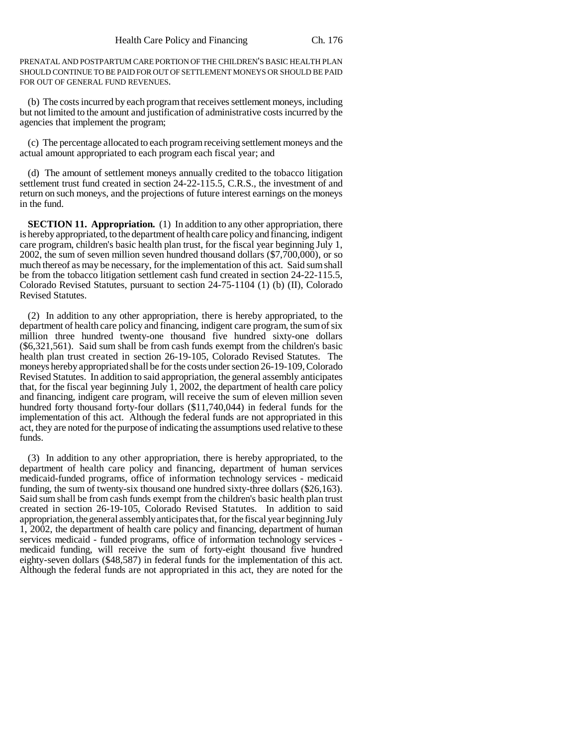PRENATAL AND POSTPARTUM CARE PORTION OF THE CHILDREN'S BASIC HEALTH PLAN SHOULD CONTINUE TO BE PAID FOR OUT OF SETTLEMENT MONEYS OR SHOULD BE PAID FOR OUT OF GENERAL FUND REVENUES.

(b) The costs incurred by each program that receives settlement moneys, including but not limited to the amount and justification of administrative costs incurred by the agencies that implement the program;

(c) The percentage allocated to each program receiving settlement moneys and the actual amount appropriated to each program each fiscal year; and

(d) The amount of settlement moneys annually credited to the tobacco litigation settlement trust fund created in section 24-22-115.5, C.R.S., the investment of and return on such moneys, and the projections of future interest earnings on the moneys in the fund.

**SECTION 11. Appropriation.** (1) In addition to any other appropriation, there is hereby appropriated, to the department of health care policy and financing, indigent care program, children's basic health plan trust, for the fiscal year beginning July 1, 2002, the sum of seven million seven hundred thousand dollars (\$7,700,000), or so much thereof as may be necessary, for the implementation of this act. Said sum shall be from the tobacco litigation settlement cash fund created in section 24-22-115.5, Colorado Revised Statutes, pursuant to section 24-75-1104 (1) (b) (II), Colorado Revised Statutes.

(2) In addition to any other appropriation, there is hereby appropriated, to the department of health care policy and financing, indigent care program, the sum of six million three hundred twenty-one thousand five hundred sixty-one dollars (\$6,321,561). Said sum shall be from cash funds exempt from the children's basic health plan trust created in section 26-19-105, Colorado Revised Statutes. The moneys hereby appropriated shall be for the costs under section 26-19-109, Colorado Revised Statutes. In addition to said appropriation, the general assembly anticipates that, for the fiscal year beginning July  $\hat{1}$ , 2002, the department of health care policy and financing, indigent care program, will receive the sum of eleven million seven hundred forty thousand forty-four dollars (\$11,740,044) in federal funds for the implementation of this act. Although the federal funds are not appropriated in this act, they are noted for the purpose of indicating the assumptions used relative to these funds.

(3) In addition to any other appropriation, there is hereby appropriated, to the department of health care policy and financing, department of human services medicaid-funded programs, office of information technology services - medicaid funding, the sum of twenty-six thousand one hundred sixty-three dollars (\$26,163). Said sum shall be from cash funds exempt from the children's basic health plan trust created in section 26-19-105, Colorado Revised Statutes. In addition to said appropriation, the general assembly anticipates that, for the fiscal year beginning July 1, 2002, the department of health care policy and financing, department of human services medicaid - funded programs, office of information technology services medicaid funding, will receive the sum of forty-eight thousand five hundred eighty-seven dollars (\$48,587) in federal funds for the implementation of this act. Although the federal funds are not appropriated in this act, they are noted for the